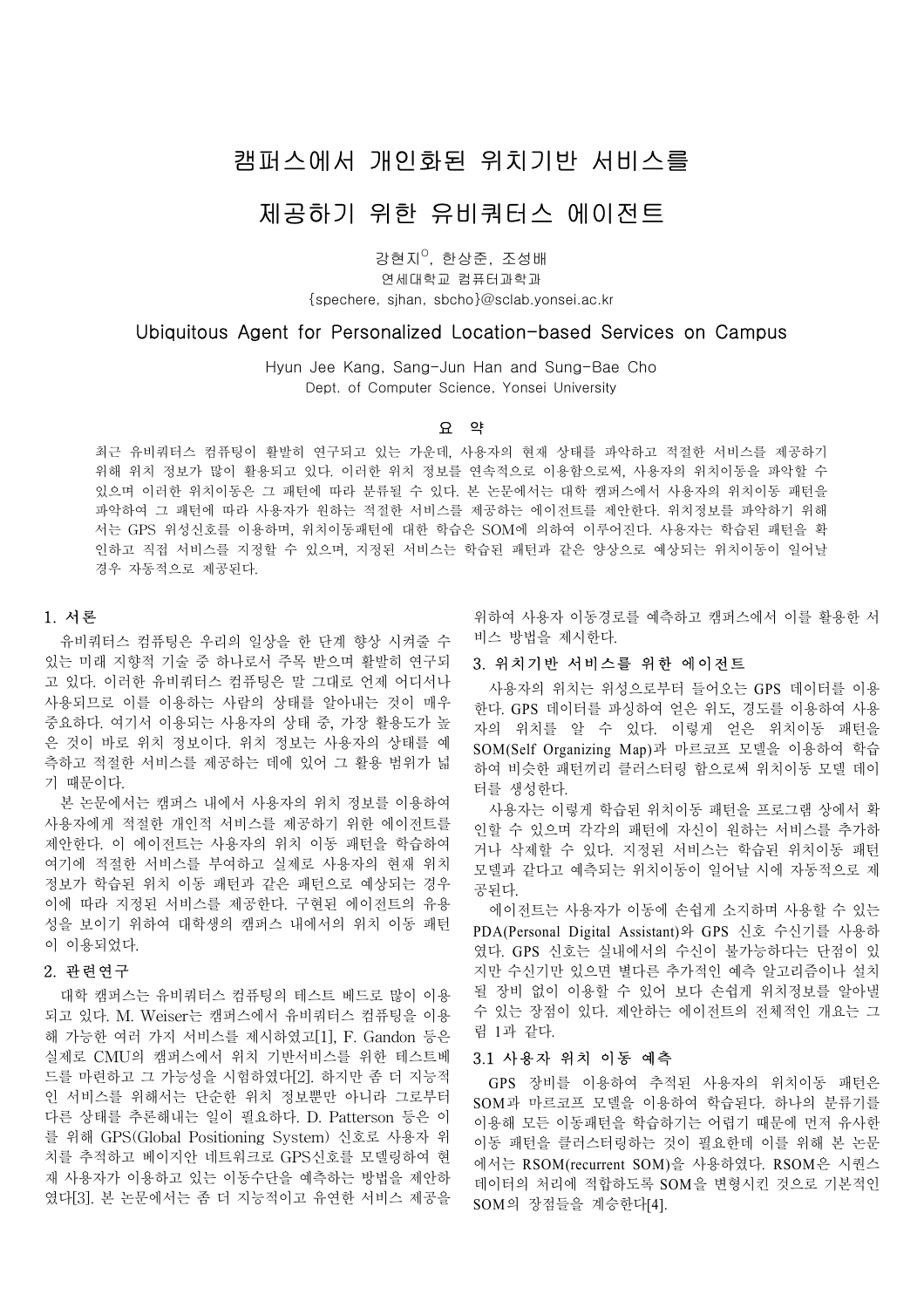## 캠퍼스에서 개인화된 위치기반 서비스를

# 제공하기 위한 유비쿼터스 에이전트

강현지<sup>0</sup>, 한상준, 조성배

연세대학교 컴퓨터과학과 {spechere, sjhan, sbcho}@sclab.yonsei.ac.kr

## Ubiquitous Agent for Personalized Location-based Services on Campus

Hyun Jee Kang, Sang-Jun Han and Sung-Bae Cho Dept. of Computer Science. Yonsei University

#### 요 약

최근 유비쿼터스 컴퓨팅이 활발히 연구되고 있는 가운데, 사용자의 현재 상태를 파악하고 적절한 서비스를 제공하기 위해 위치 정보가 많이 활용되고 있다. 이러한 위치 정보를 연속적으로 이용함으로써, 사용자의 위치이동을 파악할 수 있으며 이러한 위치이동은 그 패턴에 따라 분류될 수 있다. 본 논문에서는 대학 캠퍼스에서 사용자의 위치이동 패턴을 파악하여 그 패턴에 따라 사용자가 원하는 적절한 서비스를 제공하는 에이전트를 제안한다. 위치정보를 파악하기 위해 서는 GPS 위성신호를 이용하며, 위치이동패턴에 대한 학습은 SOM에 의하여 이루어진다. 사용자는 학습된 패턴을 확 인하고 직접 서비스를 지정할 수 있으며, 지정된 서비스는 학습된 패턴과 같은 양상으로 예상되는 위치이동이 일어날 경우 자동적으로 제공된다.

#### 1. 서론

유비쿼터스 컴퓨팅은 우리의 일상을 한 단계 향상 시켜줄 수 있는 미래 지향적 기술 중 하나로서 주목 받으며 활발히 연구되 고 있다. 이러한 유비쿼터스 컴퓨팅은 말 그대로 언제 어디서나 사용되므로 이를 이용하는 사람의 상태를 알아내는 것이 매우 중요하다. 여기서 이용되는 사용자의 상태 중, 가장 활용도가 높 은 것이 바로 위치 정보이다. 위치 정보는 사용자의 상태를 예 측하고 적절한 서비스를 제공하는 데에 있어 그 활용 범위가 넓 기 때문이다.

본 논문에서는 캠퍼스 내에서 사용자의 위치 정보를 이용하여 사용자에게 적절한 개인적 서비스를 제공하기 위한 에이전트를 제안한다. 이 에이전트는 사용자의 위치 이동 패턴을 학습하여 여기에 적절한 서비스를 부여하고 실제로 사용자의 현재 위치 정보가 학습된 위치 이동 패턴과 같은 패턴으로 예상되는 경우 이에 따라 지정된 서비스를 제공한다. 구현된 에이전트의 유용 성을 보이기 위하여 대학생의 캠퍼스 내에서의 위치 이동 패턴 이 이용되었다.

## 2. 관련연구

대학 캠퍼스는 유비쿼터스 컴퓨팅의 테스트 베드로 많이 이용 되고 있다. M. Weiser는 캠퍼스에서 유비쿼터스 컴퓨팅을 이용 해 가능한 여러 가지 서비스를 제시하였고[1], F. Gandon 등은 실제로 CMU의 캠퍼스에서 위치 기반서비스를 위한 테스트베 드를 마련하고 그 가능성을 시험하였다[2]. 하지만 좀 더 지능적 인 서비스를 위해서는 단순한 위치 정보뿐만 아니라 그로부터 다른 상태를 추론해내는 일이 필요하다. D. Patterson 등은 이 를 위해 GPS(Global Positioning System) 신호로 사용자 위 치를 추적하고 베이지안 네트워크로 GPS신호를 모델링하여 현 재 사용자가 이용하고 있는 이동수단을 예측하는 방법을 제안하 였다[3]. 본 논문에서는 좀 더 지능적이고 유연한 서비스 제공을

위하여 사용자 이동경로를 예측하고 캠퍼스에서 이를 활용한 서 비스 방법을 제시한다.

#### 3. 위치기반 서비스를 위한 에이전트

사용자의 위치는 위성으로부터 들어오는 GPS 데이터를 이용 한다. GPS 데이터를 파싱하여 얻은 위도, 경도를 이용하여 사용 자의 위치를 알 수 있다. 이렇게 얻은 위치이동 패턴을 SOM(Self Organizing Map)과 마르코프 모델을 이용하여 학습 하여 비슷한 패턴끼리 클러스터링 함으로써 위치이동 모델 데이 터를 생성한다.

사용자는 이렇게 학습된 위치이동 패턴을 프로그램 상에서 확 인할 수 있으며 각각의 패턴에 자신이 원하는 서비스를 추가하 거나 삭제할 수 있다. 지정된 서비스는 학습된 위치이동 패턴 모델과 같다고 예측되는 위치이동이 일어날 시에 자동적으로 제 공된다.

에이전트는 사용자가 이동에 손쉽게 소지하며 사용할 수 있는 PDA(Personal Digital Assistant)와 GPS 신호 수신기를 사용하 였다. GPS 신호는 실내에서의 수신이 불가능하다는 단점이 있 지만 수신기만 있으면 별다른 추가적인 예측 알고리즘이나 설치 될 장비 없이 이용할 수 있어 보다 손쉽게 위치정보를 알아낼 수 있는 장점이 있다. 제안하는 에이전트의 전체적인 개요는 그 림 1과 같다.

### 3.1 사용자 위치 이동 예측

GPS 장비를 이용하여 추적된 사용자의 위치이동 패턴은 SOM과 마르코프 모델을 이용하여 학습된다. 하나의 분류기를 이용해 모든 이동패턴을 학습하기는 어렵기 때문에 먼저 유사한 이동 패턴을 클러스터링하는 것이 필요한데 이를 위해 본 논문 에서는 RSOM(recurrent SOM)을 사용하였다. RSOM은 시퀀스 데이터의 처리에 적합하도록 SOM을 변형시킨 것으로 기본적인 SOM의 장점들을 계승한다[4].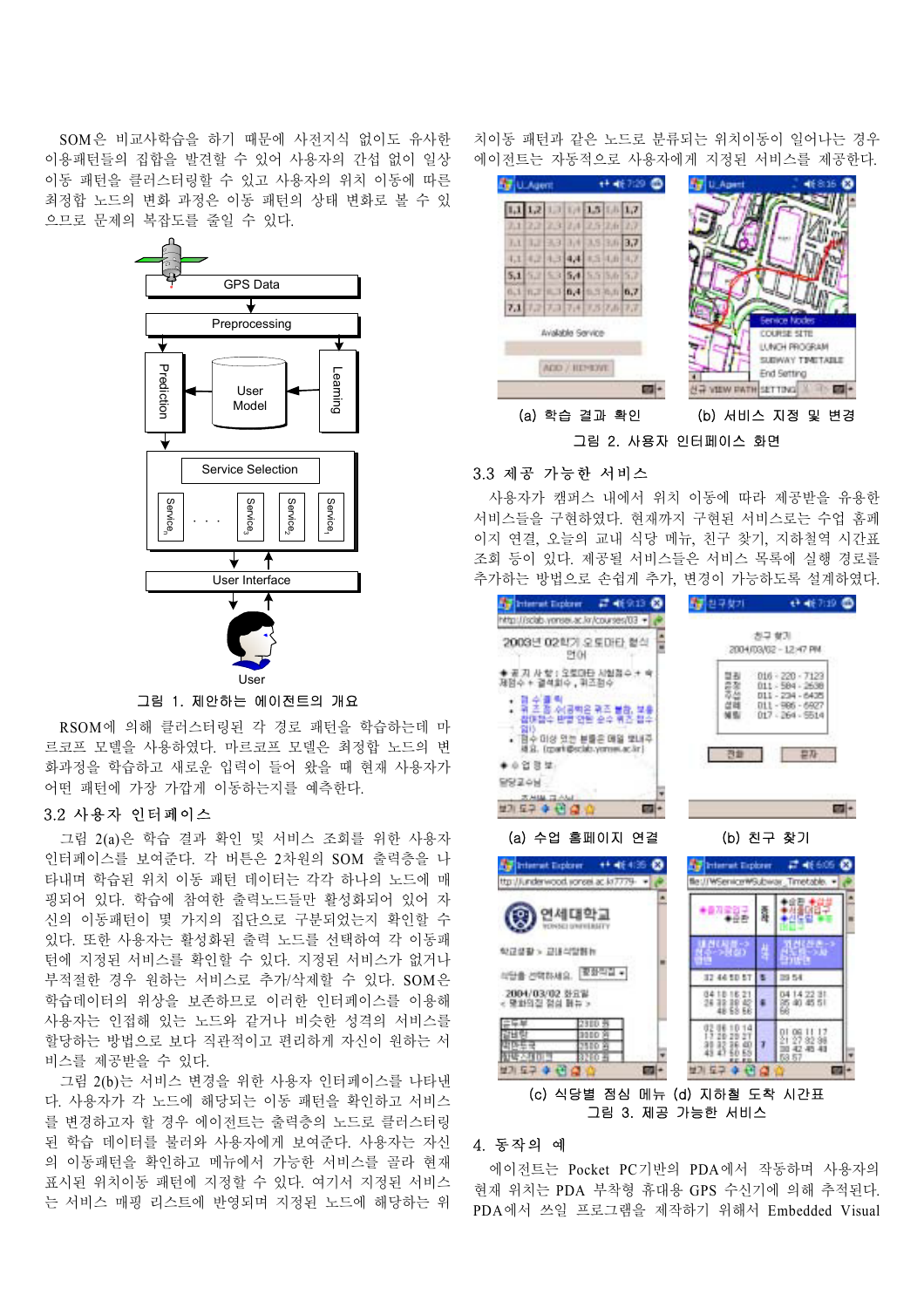SOM은 비교사학습을 하기 때문에 사전지식 없이도 유사한 이용패턴들의 집합을 발견할 수 있어 사용자의 간섭 없이 일상 이동 패턴을 클러스터링할 수 있고 사용자의 위치 이동에 따른 최정합 노드의 변화 과정은 이동 패턴의 상태 변화로 볼 수 있 으므로 문제의 복잡도를 줄일 수 있다.



그림 1. 제안하는 에이전트의 개요

RSOM에 의해 클러스터링된 각 경로 패턴을 학습하는데 마 르코프 모델을 사용하였다. 마르코프 모델은 최정합 노드의 변 화과정을 학습하고 새로운 입력이 들어 왔을 때 현재 사용자가 어떤 패턴에 가장 가깝게 이동하는지를 예측한다.

### 3.2 사용자 인터페이스

그림 2(a)은 학습 결과 확인 및 서비스 조회를 위한 사용자 인터페이스를 보여준다. 각 버튼은 2차원의 SOM 출력층을 나 타내며 학습된 위치 이동 패턴 데이터는 각각 하나의 노드에 매 핑되어 있다. 학습에 참여한 출력노드들만 활성화되어 있어 자 신의 이동패턴이 몇 가지의 집단으로 구분되었는지 확인할 수 있다. 또한 사용자는 활성화된 출력 노드를 선택하여 각 이동패 턴에 지정된 서비스를 확인할 수 있다. 지정된 서비스가 없거나 부적절한 경우 원하는 서비스로 추가/삭제할 수 있다. SOM은 학습데이터의 위상을 보존하므로 이러한 인터페이스를 이용해 사용자는 인접해 있는 노드와 같거나 비슷한 성격의 서비스를 할당하는 방법으로 보다 직관적이고 편리하게 자신이 원하는 서 비스를 제공받을 수 있다.

그림 2(b)는 서비스 변경을 위한 사용자 인터페이스를 나타낸 다. 사용자가 각 노드에 해당되는 이동 패턴을 확인하고 서비스 를 변경하고자 할 경우 에이전트는 출력층의 노드로 클러스터링 된 학습 데이터를 불러와 사용자에게 보여준다. 사용자는 자신 의 이동패턴을 확인하고 메뉴에서 가능한 서비스를 골라 현재 표시된 위치이동 패턴에 지정할 수 있다. 여기서 지정된 서비스 는 서비스 매핑 리스트에 반영되며 지정된 노드에 해당하는 위 치이동 패턴과 같은 노드로 분류되는 위치이동이 일어나는 경우 에이전트는 자동적으로 사용자에게 지정된 서비스를 제공한다.



## 3.3 제공 가능한 서비스

사용자가 캠퍼스 내에서 위치 이동에 따라 제공받을 유용한 서비스들을 구현하였다. 현재까지 구현된 서비스로는 수업 홈페 이지 연결, 오늘의 교내 식당 메뉴, 친구 찾기, 지하철역 시간표 조회 등이 있다. 제공될 서비스들은 서비스 목록에 실행 경로를 추가하는 방법으로 손쉽게 추가, 변경이 가능하도록 설계하였다.

| 2003년 02학기 오토마타 협식<br>T<br>면어                                                                                   |                                               | 친구 향기<br>2004/03/02 - 12:47 PM                                                   |                  |
|-----------------------------------------------------------------------------------------------------------------|-----------------------------------------------|----------------------------------------------------------------------------------|------------------|
| ◆ 공 지 사 찾 : 오토마타 시험경수 +<br>제임수 + 결석회수 , 휘즈점수                                                                    | 결원<br>翡<br>선례                                 | $016 - 220 - 7123$<br>011 - 584 - 2638<br>011 - 234 - 6435<br>$011 - 906 - 6927$ |                  |
| 위 초 좀 소(공책은 위조 불참, 보)<br>참매점수 반열 안된 순수 위즈 침수<br>앏!)<br>• 평수 미상 있는 분들은 매일 몇내주<br>雄丑. [zparti@sclab.yonsei.ac.in] | мn<br>전화                                      | 017 - 264 - 5514<br>异及                                                           |                  |
| ▶ ① 凹 図 望 :<br>원장교수님                                                                                            |                                               |                                                                                  |                  |
| <b>DAMA DE ANALIS</b><br>보기 도구 수 년 술<br>m.                                                                      |                                               |                                                                                  | ana i            |
| (a) 수업 홈페이지<br>연결<br><b># 帐405</b><br>Internet Explorer<br>œ                                                    | (b) 친구 찾기<br><b>Internet Explorer</b>         |                                                                                  | <b>급 46605 @</b> |
| ttp://iunderwood.vorsel.ac.kt7779-<br>연세대학교                                                                     | <b>fle://WSenicerWS.doinar</b><br>■四宝四子<br>粉色 | Timetable. .<br>涯                                                                | m                |
| <b><i>VERVISE) UNIVERSITY</i></b><br>학교설활 > 교내식말행부                                                              |                                               | 糖                                                                                |                  |
| 要参与证 +<br>经分量 的物部相应。                                                                                            | 12 44 10 57                                   | 29.54<br>в                                                                       |                  |
| 2004/03/02 登宜温<br>< 무화의질 절심 해뉴 >                                                                                | 34181821<br>26 32 39 42<br>48 SB 66           | 04 14 22 31<br>85 40 45 51<br>Бé                                                 |                  |
| 4.90<br>320.9<br>7년 5년<br>9880 M<br><b>1500 A</b><br>防監室<br>公理国王<br>1260 ±                                      | 得器1014<br>朝鼓龍器                                | 이 06 ll 17<br>의 27 82 88<br>T<br>30 42 45 41<br>53.57                            |                  |

## 4. 동작의 예

에이전트는 Pocket PC기반의 PDA에서 작동하며 사용자의 현재 위치는 PDA 부착형 휴대용 GPS 수신기에 의해 추적된다. PDA에서 쓰일 프로그램을 제작하기 위해서 Embedded Visual